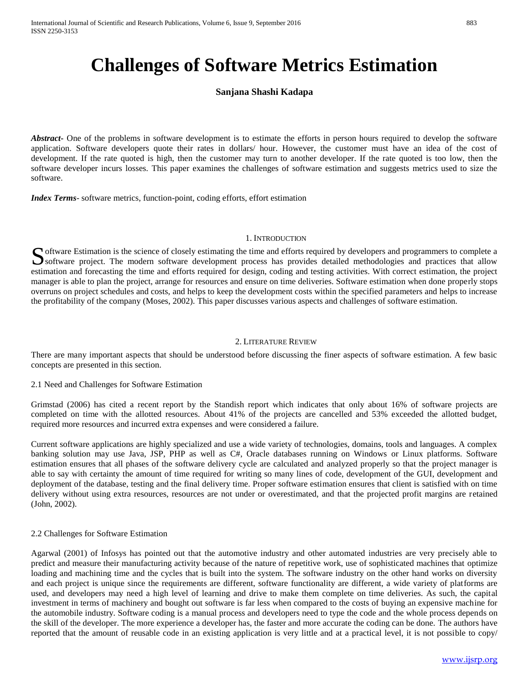# **Challenges of Software Metrics Estimation**

# **Sanjana Shashi Kadapa**

*Abstract* One of the problems in software development is to estimate the efforts in person hours required to develop the software application. Software developers quote their rates in dollars/ hour. However, the customer must have an idea of the cost of development. If the rate quoted is high, then the customer may turn to another developer. If the rate quoted is too low, then the software developer incurs losses. This paper examines the challenges of software estimation and suggests metrics used to size the software.

*Index Terms*- software metrics, function-point, coding efforts, effort estimation

## 1. INTRODUCTION

oftware Estimation is the science of closely estimating the time and efforts required by developers and programmers to complete a Software Estimation is the science of closely estimating the time and efforts required by developers and programmers to complete a software project. The modern software development process has provides detailed methodologi estimation and forecasting the time and efforts required for design, coding and testing activities. With correct estimation, the project manager is able to plan the project, arrange for resources and ensure on time deliveries. Software estimation when done properly stops overruns on project schedules and costs, and helps to keep the development costs within the specified parameters and helps to increase the profitability of the company (Moses, 2002). This paper discusses various aspects and challenges of software estimation.

# 2. LITERATURE REVIEW

There are many important aspects that should be understood before discussing the finer aspects of software estimation. A few basic concepts are presented in this section.

## 2.1 Need and Challenges for Software Estimation

Grimstad (2006) has cited a recent report by the Standish report which indicates that only about 16% of software projects are completed on time with the allotted resources. About 41% of the projects are cancelled and 53% exceeded the allotted budget, required more resources and incurred extra expenses and were considered a failure.

Current software applications are highly specialized and use a wide variety of technologies, domains, tools and languages. A complex banking solution may use Java, JSP, PHP as well as C#, Oracle databases running on Windows or Linux platforms. Software estimation ensures that all phases of the software delivery cycle are calculated and analyzed properly so that the project manager is able to say with certainty the amount of time required for writing so many lines of code, development of the GUI, development and deployment of the database, testing and the final delivery time. Proper software estimation ensures that client is satisfied with on time delivery without using extra resources, resources are not under or overestimated, and that the projected profit margins are retained (John, 2002).

## 2.2 Challenges for Software Estimation

Agarwal (2001) of Infosys has pointed out that the automotive industry and other automated industries are very precisely able to predict and measure their manufacturing activity because of the nature of repetitive work, use of sophisticated machines that optimize loading and machining time and the cycles that is built into the system. The software industry on the other hand works on diversity and each project is unique since the requirements are different, software functionality are different, a wide variety of platforms are used, and developers may need a high level of learning and drive to make them complete on time deliveries. As such, the capital investment in terms of machinery and bought out software is far less when compared to the costs of buying an expensive machine for the automobile industry. Software coding is a manual process and developers need to type the code and the whole process depends on the skill of the developer. The more experience a developer has, the faster and more accurate the coding can be done. The authors have reported that the amount of reusable code in an existing application is very little and at a practical level, it is not possible to copy/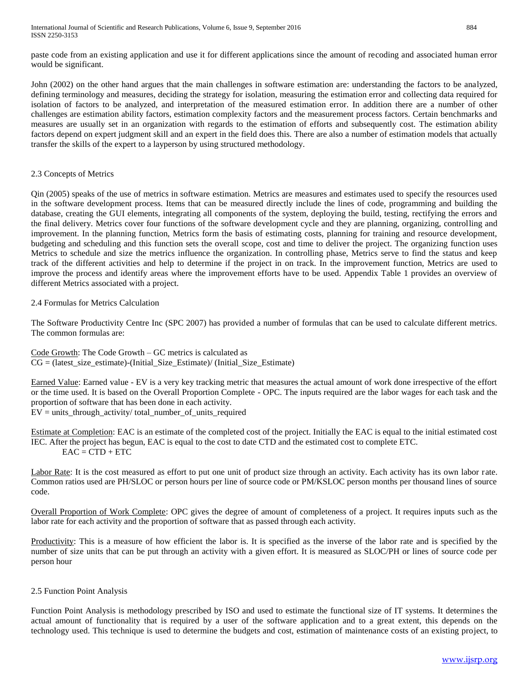paste code from an existing application and use it for different applications since the amount of recoding and associated human error would be significant.

John (2002) on the other hand argues that the main challenges in software estimation are: understanding the factors to be analyzed, defining terminology and measures, deciding the strategy for isolation, measuring the estimation error and collecting data required for isolation of factors to be analyzed, and interpretation of the measured estimation error. In addition there are a number of other challenges are estimation ability factors, estimation complexity factors and the measurement process factors. Certain benchmarks and measures are usually set in an organization with regards to the estimation of efforts and subsequently cost. The estimation ability factors depend on expert judgment skill and an expert in the field does this. There are also a number of estimation models that actually transfer the skills of the expert to a layperson by using structured methodology.

# 2.3 Concepts of Metrics

Qin (2005) speaks of the use of metrics in software estimation. Metrics are measures and estimates used to specify the resources used in the software development process. Items that can be measured directly include the lines of code, programming and building the database, creating the GUI elements, integrating all components of the system, deploying the build, testing, rectifying the errors and the final delivery. Metrics cover four functions of the software development cycle and they are planning, organizing, controlling and improvement. In the planning function, Metrics form the basis of estimating costs, planning for training and resource development, budgeting and scheduling and this function sets the overall scope, cost and time to deliver the project. The organizing function uses Metrics to schedule and size the metrics influence the organization. In controlling phase, Metrics serve to find the status and keep track of the different activities and help to determine if the project in on track. In the improvement function, Metrics are used to improve the process and identify areas where the improvement efforts have to be used. Appendix Table 1 provides an overview of different Metrics associated with a project.

# 2.4 Formulas for Metrics Calculation

The Software Productivity Centre Inc (SPC 2007) has provided a number of formulas that can be used to calculate different metrics. The common formulas are:

Code Growth: The Code Growth – GC metrics is calculated as  $CG = (latest\ size\ estimate)$ -(Initial Size Estimate)/ (Initial Size Estimate)

Earned Value: Earned value - EV is a very key tracking metric that measures the actual amount of work done irrespective of the effort or the time used. It is based on the Overall Proportion Complete - OPC. The inputs required are the labor wages for each task and the proportion of software that has been done in each activity. EV = units\_through\_activity/ total\_number\_of\_units\_required

Estimate at Completion: EAC is an estimate of the completed cost of the project. Initially the EAC is equal to the initial estimated cost IEC. After the project has begun, EAC is equal to the cost to date CTD and the estimated cost to complete ETC.  $EAC = CTD + ETC$ 

Labor Rate: It is the cost measured as effort to put one unit of product size through an activity. Each activity has its own labor rate. Common ratios used are PH/SLOC or person hours per line of source code or PM/KSLOC person months per thousand lines of source code.

Overall Proportion of Work Complete: OPC gives the degree of amount of completeness of a project. It requires inputs such as the labor rate for each activity and the proportion of software that as passed through each activity.

Productivity: This is a measure of how efficient the labor is. It is specified as the inverse of the labor rate and is specified by the number of size units that can be put through an activity with a given effort. It is measured as SLOC/PH or lines of source code per person hour

# 2.5 Function Point Analysis

Function Point Analysis is methodology prescribed by ISO and used to estimate the functional size of IT systems. It determines the actual amount of functionality that is required by a user of the software application and to a great extent, this depends on the technology used. This technique is used to determine the budgets and cost, estimation of maintenance costs of an existing project, to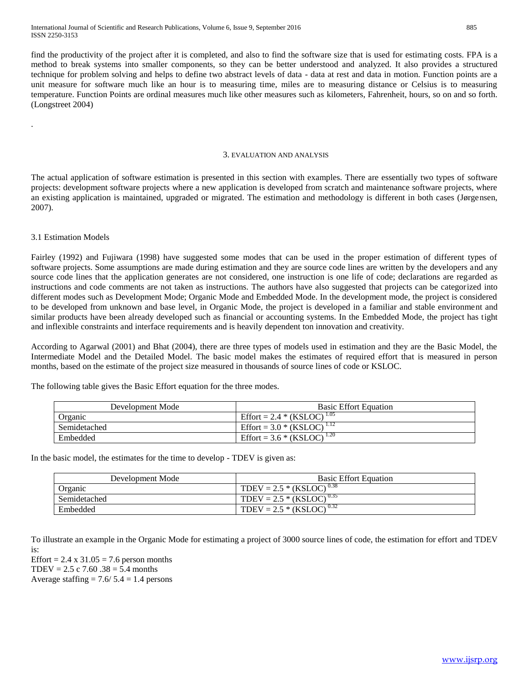find the productivity of the project after it is completed, and also to find the software size that is used for estimating costs. FPA is a method to break systems into smaller components, so they can be better understood and analyzed. It also provides a structured technique for problem solving and helps to define two abstract levels of data - data at rest and data in motion. Function points are a unit measure for software much like an hour is to measuring time, miles are to measuring distance or Celsius is to measuring temperature. Function Points are ordinal measures much like other measures such as kilometers, Fahrenheit, hours, so on and so forth. (Longstreet 2004)

#### 3. EVALUATION AND ANALYSIS

The actual application of software estimation is presented in this section with examples. There are essentially two types of software projects: development software projects where a new application is developed from scratch and maintenance software projects, where an existing application is maintained, upgraded or migrated. The estimation and methodology is different in both cases (Jørgensen, 2007).

# 3.1 Estimation Models

.

Fairley (1992) and Fujiwara (1998) have suggested some modes that can be used in the proper estimation of different types of software projects. Some assumptions are made during estimation and they are source code lines are written by the developers and any source code lines that the application generates are not considered, one instruction is one life of code; declarations are regarded as instructions and code comments are not taken as instructions. The authors have also suggested that projects can be categorized into different modes such as Development Mode; Organic Mode and Embedded Mode. In the development mode, the project is considered to be developed from unknown and base level, in Organic Mode, the project is developed in a familiar and stable environment and similar products have been already developed such as financial or accounting systems. In the Embedded Mode, the project has tight and inflexible constraints and interface requirements and is heavily dependent ton innovation and creativity.

According to Agarwal (2001) and Bhat (2004), there are three types of models used in estimation and they are the Basic Model, the Intermediate Model and the Detailed Model. The basic model makes the estimates of required effort that is measured in person months, based on the estimate of the project size measured in thousands of source lines of code or KSLOC.

| Development Mode | <b>Basic Effort Equation</b>           |
|------------------|----------------------------------------|
| Organic          | Effort = 2.4 * (KSLOC) <sup>1.05</sup> |
| Semidetached     | Effort = $3.0 * (KSLOC)^{1.12}$        |
| Embedded         | Effort = $3.6 * (KSLOC)^{1.20}$        |

The following table gives the Basic Effort equation for the three modes.

In the basic model, the estimates for the time to develop - TDEV is given as:

| Development Mode | <b>Basic Effort Equation</b>  |
|------------------|-------------------------------|
| Organic          | TDEV = $2.5 * (KSLOC)^{0.38}$ |
| Semidetached     | TDEV = $2.5 * (KSLOC)^{0.35}$ |
| Embedded         | TDEV = $2.5 * (KSLOC)^{0.32}$ |

To illustrate an example in the Organic Mode for estimating a project of 3000 source lines of code, the estimation for effort and TDEV is:

Effort =  $2.4 \times 31.05 = 7.6$  person months TDEV =  $2.5 \text{ c } 7.60$   $.38 = 5.4 \text{ months}$ Average staffing  $= 7.6/ 5.4 = 1.4$  persons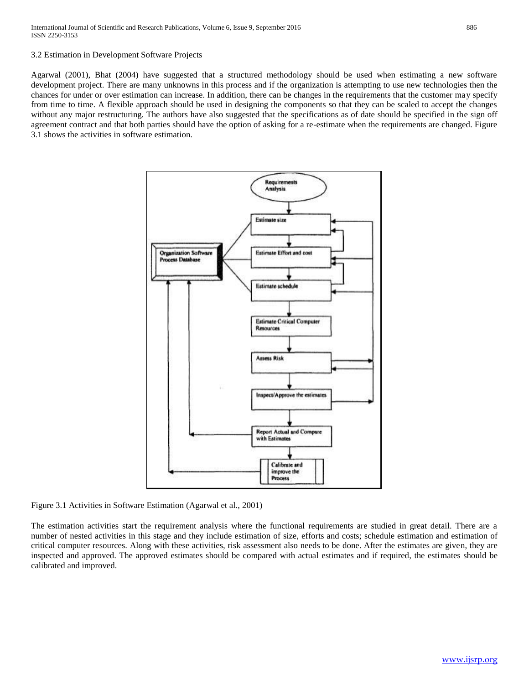3.2 Estimation in Development Software Projects

Agarwal (2001), Bhat (2004) have suggested that a structured methodology should be used when estimating a new software development project. There are many unknowns in this process and if the organization is attempting to use new technologies then the chances for under or over estimation can increase. In addition, there can be changes in the requirements that the customer may specify from time to time. A flexible approach should be used in designing the components so that they can be scaled to accept the changes without any major restructuring. The authors have also suggested that the specifications as of date should be specified in the sign off agreement contract and that both parties should have the option of asking for a re-estimate when the requirements are changed. Figure 3.1 shows the activities in software estimation.



Figure 3.1 Activities in Software Estimation (Agarwal et al., 2001)

The estimation activities start the requirement analysis where the functional requirements are studied in great detail. There are a number of nested activities in this stage and they include estimation of size, efforts and costs; schedule estimation and estimation of critical computer resources. Along with these activities, risk assessment also needs to be done. After the estimates are given, they are inspected and approved. The approved estimates should be compared with actual estimates and if required, the estimates should be calibrated and improved.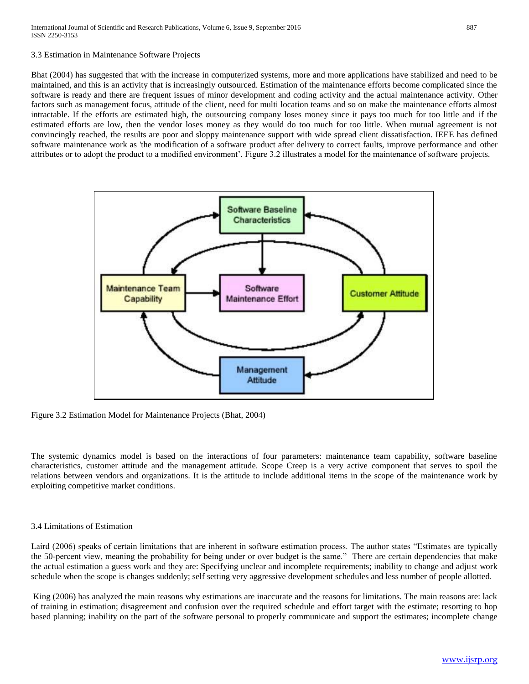### 3.3 Estimation in Maintenance Software Projects

Bhat (2004) has suggested that with the increase in computerized systems, more and more applications have stabilized and need to be maintained, and this is an activity that is increasingly outsourced. Estimation of the maintenance efforts become complicated since the software is ready and there are frequent issues of minor development and coding activity and the actual maintenance activity. Other factors such as management focus, attitude of the client, need for multi location teams and so on make the maintenance efforts almost intractable. If the efforts are estimated high, the outsourcing company loses money since it pays too much for too little and if the estimated efforts are low, then the vendor loses money as they would do too much for too little. When mutual agreement is not convincingly reached, the results are poor and sloppy maintenance support with wide spread client dissatisfaction. IEEE has defined software maintenance work as 'the modification of a software product after delivery to correct faults, improve performance and other attributes or to adopt the product to a modified environment'. Figure 3.2 illustrates a model for the maintenance of software projects.



Figure 3.2 Estimation Model for Maintenance Projects (Bhat, 2004)

The systemic dynamics model is based on the interactions of four parameters: maintenance team capability, software baseline characteristics, customer attitude and the management attitude. Scope Creep is a very active component that serves to spoil the relations between vendors and organizations. It is the attitude to include additional items in the scope of the maintenance work by exploiting competitive market conditions.

## 3.4 Limitations of Estimation

Laird (2006) speaks of certain limitations that are inherent in software estimation process. The author states "Estimates are typically the 50-percent view, meaning the probability for being under or over budget is the same." There are certain dependencies that make the actual estimation a guess work and they are: Specifying unclear and incomplete requirements; inability to change and adjust work schedule when the scope is changes suddenly; self setting very aggressive development schedules and less number of people allotted.

King (2006) has analyzed the main reasons why estimations are inaccurate and the reasons for limitations. The main reasons are: lack of training in estimation; disagreement and confusion over the required schedule and effort target with the estimate; resorting to hop based planning; inability on the part of the software personal to properly communicate and support the estimates; incomplete change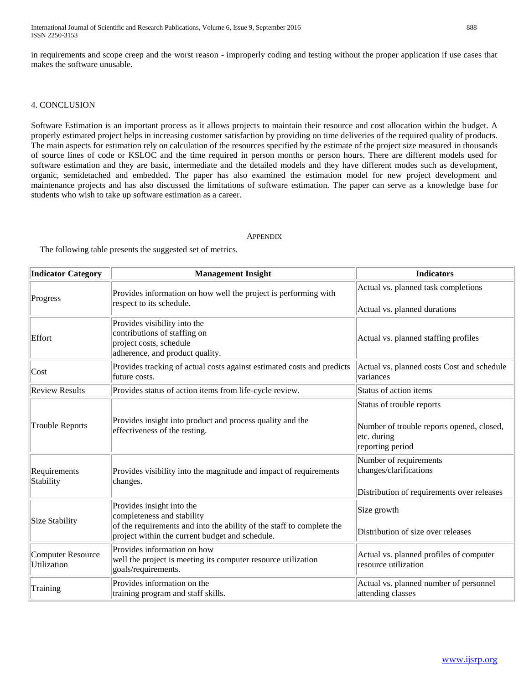in requirements and scope creep and the worst reason - improperly coding and testing without the proper application if use cases that makes the software unusable.

# 4. CONCLUSION

Software Estimation is an important process as it allows projects to maintain their resource and cost allocation within the budget. A properly estimated project helps in increasing customer satisfaction by providing on time deliveries of the required quality of products. The main aspects for estimation rely on calculation of the resources specified by the estimate of the project size measured in thousands of source lines of code or KSLOC and the time required in person months or person hours. There are different models used for software estimation and they are basic, intermediate and the detailed models and they have different modes such as development, organic, semidetached and embedded. The paper has also examined the estimation model for new project development and maintenance projects and has also discussed the limitations of software estimation. The paper can serve as a knowledge base for students who wish to take up software estimation as a career.

#### **APPENDIX**

The following table presents the suggested set of metrics.

| <b>Indicator Category</b>        | <b>Management Insight</b>                                                                                                                                                           | <b>Indicators</b>                                                                                         |
|----------------------------------|-------------------------------------------------------------------------------------------------------------------------------------------------------------------------------------|-----------------------------------------------------------------------------------------------------------|
| Progress                         | Provides information on how well the project is performing with<br>respect to its schedule.                                                                                         | Actual vs. planned task completions<br>Actual vs. planned durations                                       |
| Effort                           | Provides visibility into the<br>contributions of staffing on<br>project costs, schedule<br>adherence, and product quality.                                                          | Actual vs. planned staffing profiles                                                                      |
| Cost                             | Provides tracking of actual costs against estimated costs and predicts<br>future costs.                                                                                             | Actual vs. planned costs Cost and schedule<br>variances                                                   |
| <b>Review Results</b>            | Provides status of action items from life-cycle review.                                                                                                                             | Status of action items                                                                                    |
| <b>Trouble Reports</b>           | Provides insight into product and process quality and the<br>effectiveness of the testing.                                                                                          | Status of trouble reports<br>Number of trouble reports opened, closed,<br>etc. during<br>reporting period |
| Requirements<br>Stability        | Provides visibility into the magnitude and impact of requirements<br>changes.                                                                                                       | Number of requirements<br>changes/clarifications<br>Distribution of requirements over releases            |
| Size Stability                   | Provides insight into the<br>completeness and stability<br>of the requirements and into the ability of the staff to complete the<br>project within the current budget and schedule. | Size growth<br>Distribution of size over releases                                                         |
| Computer Resource<br>Utilization | Provides information on how<br>well the project is meeting its computer resource utilization<br>goals/requirements.                                                                 | Actual vs. planned profiles of computer<br>resource utilization                                           |
| Training                         | Provides information on the<br>training program and staff skills.                                                                                                                   | Actual vs. planned number of personnel<br>attending classes                                               |